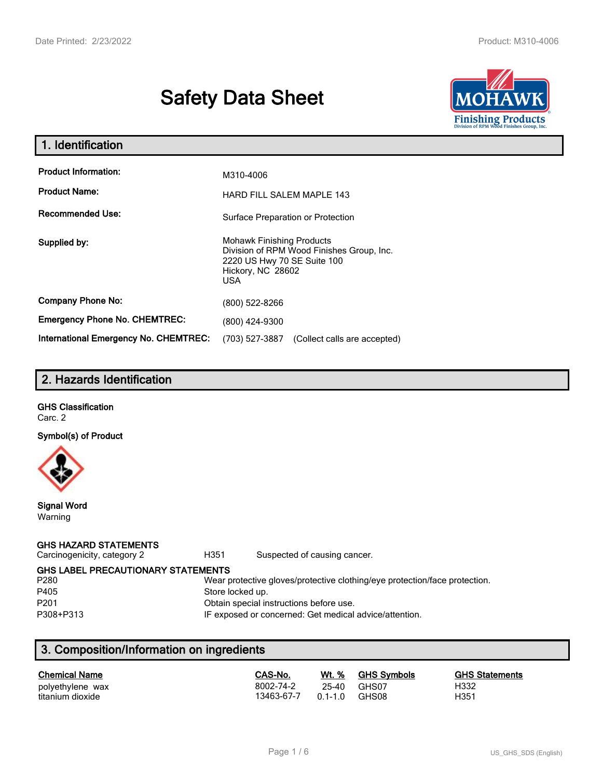# **Safety Data Sheet**



| 1. Identification                                   |                                                                                                                                          |  |  |
|-----------------------------------------------------|------------------------------------------------------------------------------------------------------------------------------------------|--|--|
| <b>Product Information:</b><br><b>Product Name:</b> | M310-4006                                                                                                                                |  |  |
| <b>Recommended Use:</b>                             | <b>HARD FILL SALEM MAPLE 143</b><br>Surface Preparation or Protection                                                                    |  |  |
| Supplied by:                                        | <b>Mohawk Finishing Products</b><br>Division of RPM Wood Finishes Group, Inc.<br>2220 US Hwy 70 SE Suite 100<br>Hickory, NC 28602<br>USA |  |  |
| <b>Company Phone No:</b>                            | (800) 522-8266                                                                                                                           |  |  |
| <b>Emergency Phone No. CHEMTREC:</b>                | (800) 424-9300                                                                                                                           |  |  |
| <b>International Emergency No. CHEMTREC:</b>        | (703) 527-3887<br>(Collect calls are accepted)                                                                                           |  |  |

# **2. Hazards Identification**

# **GHS Classification**

Carc. 2

**Symbol(s) of Product**



**Signal Word** Warning

### **GHS HAZARD STATEMENTS**

Carcinogenicity, category 2 **H351** Suspected of causing cancer.

**GHS LABEL PRECAUTIONARY STATEMENTS**<br>P280 Wear p

#### Wear protective gloves/protective clothing/eye protection/face protection. P405 Store locked up.

P201 Obtain special instructions before use.

P308+P313 IF exposed or concerned: Get medical advice/attention.

# **3. Composition/Information on ingredients**

| <b>Chemical Name</b> | CAS-No.    | Wt. %       | <b>GHS Symbols</b> | <b>GHS Statements</b> |
|----------------------|------------|-------------|--------------------|-----------------------|
| polyethylene wax     | 8002-74-2  | 25-40       | GHS07              | H332                  |
| titanium dioxide     | 13463-67-7 | $0.1 - 1.0$ | GHS08              | H351                  |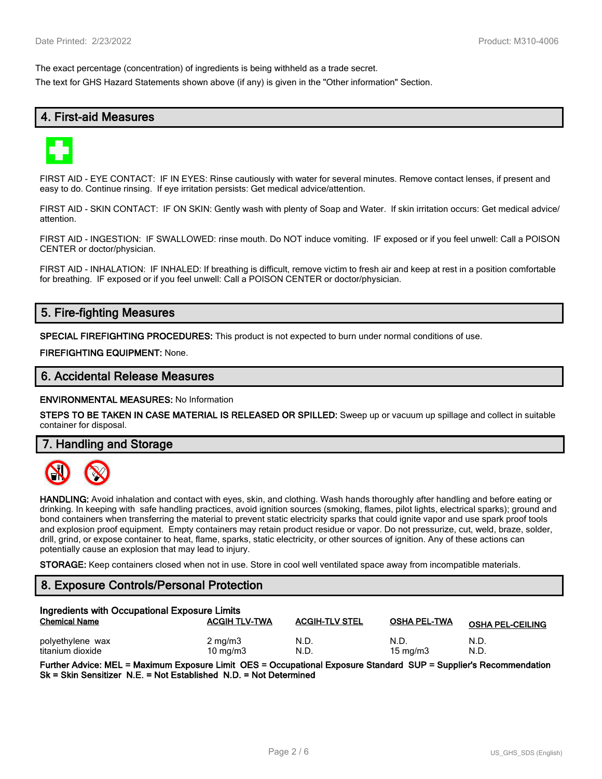The exact percentage (concentration) of ingredients is being withheld as a trade secret.

The text for GHS Hazard Statements shown above (if any) is given in the "Other information" Section.

# **4. First-aid Measures**



FIRST AID - EYE CONTACT: IF IN EYES: Rinse cautiously with water for several minutes. Remove contact lenses, if present and easy to do. Continue rinsing. If eye irritation persists: Get medical advice/attention.

FIRST AID - SKIN CONTACT: IF ON SKIN: Gently wash with plenty of Soap and Water. If skin irritation occurs: Get medical advice/ attention.

FIRST AID - INGESTION: IF SWALLOWED: rinse mouth. Do NOT induce vomiting. IF exposed or if you feel unwell: Call a POISON CENTER or doctor/physician.

FIRST AID - INHALATION: IF INHALED: If breathing is difficult, remove victim to fresh air and keep at rest in a position comfortable for breathing. IF exposed or if you feel unwell: Call a POISON CENTER or doctor/physician.

# **5. Fire-fighting Measures**

**SPECIAL FIREFIGHTING PROCEDURES:** This product is not expected to burn under normal conditions of use.

**FIREFIGHTING EQUIPMENT:** None.

### **6. Accidental Release Measures**

**ENVIRONMENTAL MEASURES:** No Information

**STEPS TO BE TAKEN IN CASE MATERIAL IS RELEASED OR SPILLED:** Sweep up or vacuum up spillage and collect in suitable container for disposal.

**7. Handling and Storage**



**HANDLING:** Avoid inhalation and contact with eyes, skin, and clothing. Wash hands thoroughly after handling and before eating or drinking. In keeping with safe handling practices, avoid ignition sources (smoking, flames, pilot lights, electrical sparks); ground and bond containers when transferring the material to prevent static electricity sparks that could ignite vapor and use spark proof tools and explosion proof equipment. Empty containers may retain product residue or vapor. Do not pressurize, cut, weld, braze, solder, drill, grind, or expose container to heat, flame, sparks, static electricity, or other sources of ignition. Any of these actions can potentially cause an explosion that may lead to injury.

**STORAGE:** Keep containers closed when not in use. Store in cool well ventilated space away from incompatible materials.

# **8. Exposure Controls/Personal Protection**

| Ingredients with Occupational Exposure Limits |                                |                       |                           |                         |  |
|-----------------------------------------------|--------------------------------|-----------------------|---------------------------|-------------------------|--|
| <b>Chemical Name</b>                          | <b>ACGIH TLV-TWA</b>           | <b>ACGIH-TLV STEL</b> | <b>OSHA PEL-TWA</b>       | <b>OSHA PEL-CEILING</b> |  |
| polyethylene wax<br>titanium dioxide          | $2 \text{ mg/m}$<br>10 $mq/m3$ | N.D.<br>N.D           | N.D.<br>$15 \text{ mg/m}$ | N.D.<br>N.D.            |  |

**Further Advice: MEL = Maximum Exposure Limit OES = Occupational Exposure Standard SUP = Supplier's Recommendation Sk = Skin Sensitizer N.E. = Not Established N.D. = Not Determined**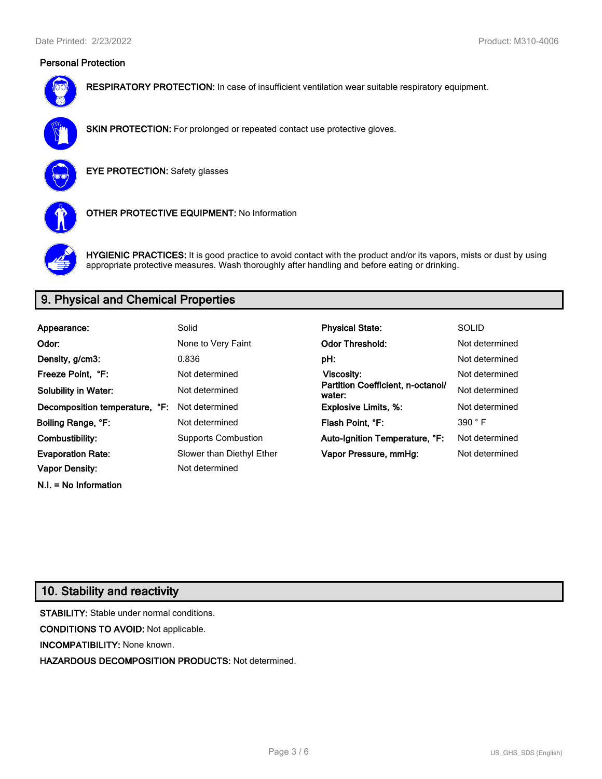# **Personal Protection**



**RESPIRATORY PROTECTION:** In case of insufficient ventilation wear suitable respiratory equipment.



**SKIN PROTECTION:** For prolonged or repeated contact use protective gloves.

**EYE PROTECTION:** Safety glasses



**OTHER PROTECTIVE EQUIPMENT:** No Information



**HYGIENIC PRACTICES:** It is good practice to avoid contact with the product and/or its vapors, mists or dust by using appropriate protective measures. Wash thoroughly after handling and before eating or drinking.

# **9. Physical and Chemical Properties**

| Appearance:                    | Solid                      | <b>Physical State:</b>                      | <b>SOLID</b>   |
|--------------------------------|----------------------------|---------------------------------------------|----------------|
| Odor:                          | None to Very Faint         | <b>Odor Threshold:</b>                      | Not determined |
| Density, g/cm3:                | 0.836                      | pH:                                         | Not determined |
| Freeze Point. °F:              | Not determined             | Viscosity:                                  | Not determined |
| <b>Solubility in Water:</b>    | Not determined             | Partition Coefficient, n-octanol/<br>water: | Not determined |
| Decomposition temperature, °F: | Not determined             | <b>Explosive Limits, %:</b>                 | Not determined |
| Boiling Range, °F:             | Not determined             | Flash Point, °F:                            | 390 °F         |
| Combustibility:                | <b>Supports Combustion</b> | Auto-Ignition Temperature, °F:              | Not determined |
| <b>Evaporation Rate:</b>       | Slower than Diethyl Ether  | Vapor Pressure, mmHg:                       | Not determined |
| <b>Vapor Density:</b>          | Not determined             |                                             |                |

# **10. Stability and reactivity**

**N.I. = No Information**

**STABILITY:** Stable under normal conditions. **CONDITIONS TO AVOID:** Not applicable. **INCOMPATIBILITY:** None known. **HAZARDOUS DECOMPOSITION PRODUCTS:** Not determined.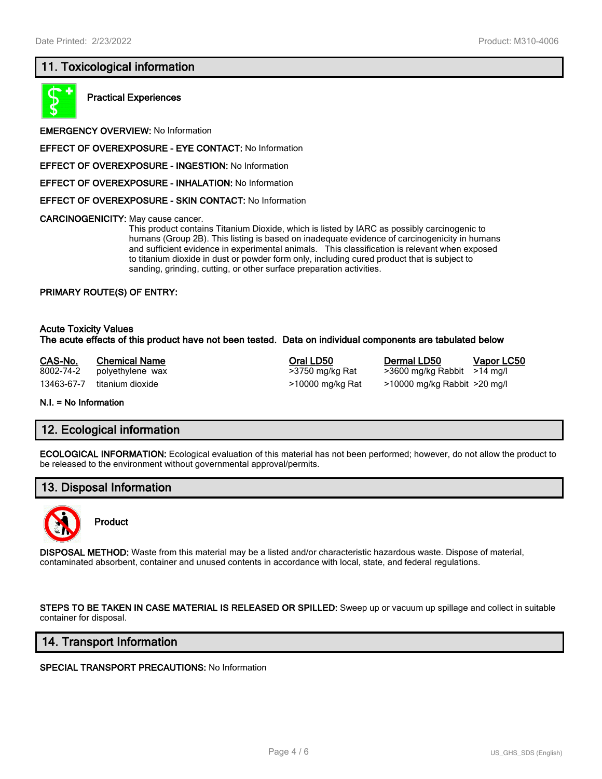# **11. Toxicological information**



**Practical Experiences**

**EMERGENCY OVERVIEW:** No Information

**EFFECT OF OVEREXPOSURE - EYE CONTACT:** No Information

**EFFECT OF OVEREXPOSURE - INGESTION:** No Information

**EFFECT OF OVEREXPOSURE - INHALATION:** No Information

**EFFECT OF OVEREXPOSURE - SKIN CONTACT:** No Information

**CARCINOGENICITY:** May cause cancer.

This product contains Titanium Dioxide, which is listed by IARC as possibly carcinogenic to humans (Group 2B). This listing is based on inadequate evidence of carcinogenicity in humans and sufficient evidence in experimental animals. This classification is relevant when exposed to titanium dioxide in dust or powder form only, including cured product that is subject to sanding, grinding, cutting, or other surface preparation activities.

#### **PRIMARY ROUTE(S) OF ENTRY:**

#### **Acute Toxicity Values The acute effects of this product have not been tested. Data on individual components are tabulated below**

**CAS-No. Chemical Name Oral LD50 Dermal LD50 Vapor LC50** 8002-74-2 polyethylene wax >3750 mg/kg Rat >3600 mg/kg Rabbit >14 mg/l 13463-67-7 titanium dioxide >10000 mg/kg Rat >10000 mg/kg Rabbit >20 mg/l

**N.I. = No Information**

### **12. Ecological information**

**ECOLOGICAL INFORMATION:** Ecological evaluation of this material has not been performed; however, do not allow the product to be released to the environment without governmental approval/permits.

# **13. Disposal Information**



**Product**

**DISPOSAL METHOD:** Waste from this material may be a listed and/or characteristic hazardous waste. Dispose of material, contaminated absorbent, container and unused contents in accordance with local, state, and federal regulations.

**STEPS TO BE TAKEN IN CASE MATERIAL IS RELEASED OR SPILLED:** Sweep up or vacuum up spillage and collect in suitable container for disposal.

### **14. Transport Information**

**SPECIAL TRANSPORT PRECAUTIONS:** No Information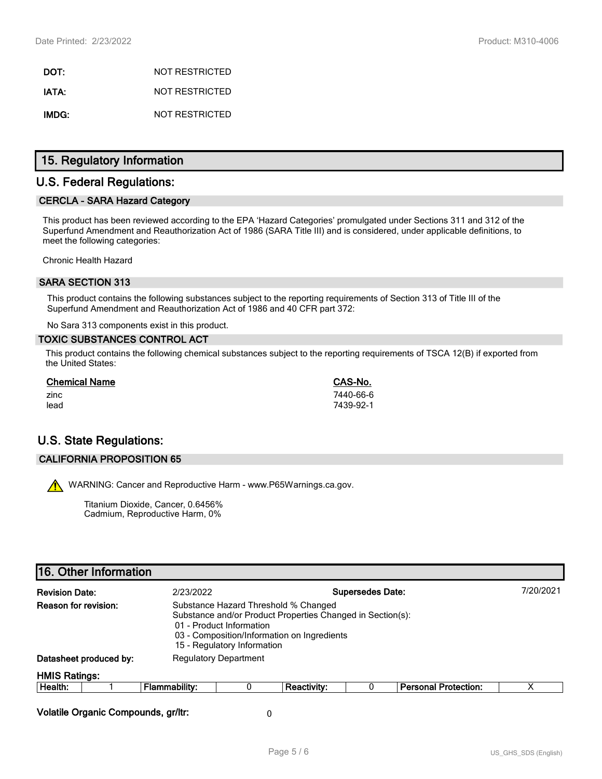**DOT:** NOT RESTRICTED **IATA:** NOT RESTRICTED **IMDG:** NOT RESTRICTED

# **15. Regulatory Information**

# **U.S. Federal Regulations:**

### **CERCLA - SARA Hazard Category**

This product has been reviewed according to the EPA 'Hazard Categories' promulgated under Sections 311 and 312 of the Superfund Amendment and Reauthorization Act of 1986 (SARA Title III) and is considered, under applicable definitions, to meet the following categories:

Chronic Health Hazard

### **SARA SECTION 313**

This product contains the following substances subject to the reporting requirements of Section 313 of Title III of the Superfund Amendment and Reauthorization Act of 1986 and 40 CFR part 372:

No Sara 313 components exist in this product.

#### **TOXIC SUBSTANCES CONTROL ACT**

This product contains the following chemical substances subject to the reporting requirements of TSCA 12(B) if exported from the United States:

| <b>Chemical Name</b> | CAS-No.   |
|----------------------|-----------|
| zinc                 | 7440-66-6 |
| lead                 | 7439-92-1 |

# **U.S. State Regulations:**

#### **CALIFORNIA PROPOSITION 65**

WARNING: Cancer and Reproductive Harm - www.P65Warnings.ca.gov.

Titanium Dioxide, Cancer, 0.6456% Cadmium, Reproductive Harm, 0%

| <b>Revision Date:</b> |                                                                                                                                                                                                                                      | 2/23/2022                    |   | <b>Supersedes Date:</b> |  |                             | 7/20/2021 |
|-----------------------|--------------------------------------------------------------------------------------------------------------------------------------------------------------------------------------------------------------------------------------|------------------------------|---|-------------------------|--|-----------------------------|-----------|
|                       | Reason for revision:<br>Substance Hazard Threshold % Changed<br>Substance and/or Product Properties Changed in Section(s):<br>01 - Product Information<br>03 - Composition/Information on Ingredients<br>15 - Regulatory Information |                              |   |                         |  |                             |           |
|                       | Datasheet produced by:                                                                                                                                                                                                               | <b>Regulatory Department</b> |   |                         |  |                             |           |
| <b>HMIS Ratings:</b>  |                                                                                                                                                                                                                                      |                              |   |                         |  |                             |           |
| Health:               |                                                                                                                                                                                                                                      | <b>Flammability:</b>         | 0 | <b>Reactivity:</b>      |  | <b>Personal Protection:</b> | х         |